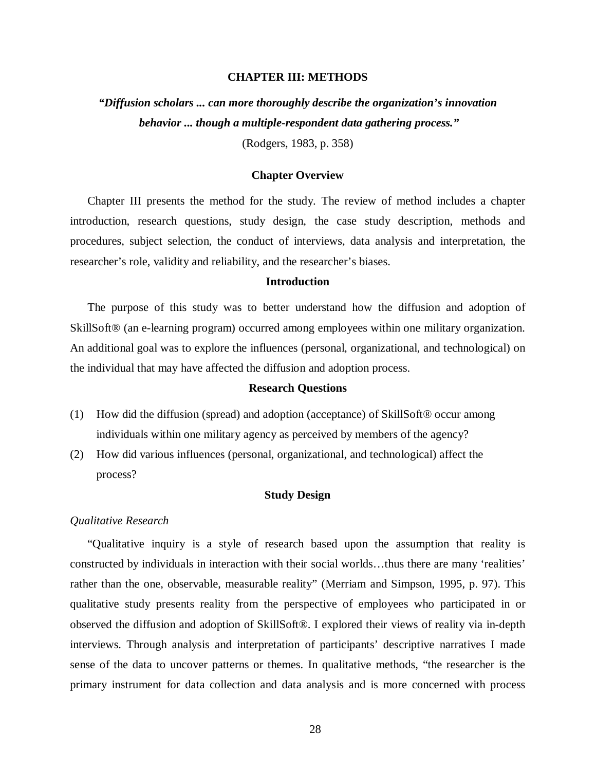## **CHAPTER III: METHODS**

*"Diffusion scholars ... can more thoroughly describe the organization's innovation behavior ... though a multiple-respondent data gathering process."*  (Rodgers, 1983, p. 358)

### **Chapter Overview**

Chapter III presents the method for the study. The review of method includes a chapter introduction, research questions, study design, the case study description, methods and procedures, subject selection, the conduct of interviews, data analysis and interpretation, the researcher's role, validity and reliability, and the researcher's biases.

### **Introduction**

The purpose of this study was to better understand how the diffusion and adoption of SkillSoft® (an e-learning program) occurred among employees within one military organization. An additional goal was to explore the influences (personal, organizational, and technological) on the individual that may have affected the diffusion and adoption process.

### **Research Questions**

- (1) How did the diffusion (spread) and adoption (acceptance) of SkillSoft® occur among individuals within one military agency as perceived by members of the agency?
- (2) How did various influences (personal, organizational, and technological) affect the process?

## **Study Design**

## *Qualitative Research*

"Qualitative inquiry is a style of research based upon the assumption that reality is constructed by individuals in interaction with their social worlds…thus there are many 'realities' rather than the one, observable, measurable reality" (Merriam and Simpson, 1995, p. 97). This qualitative study presents reality from the perspective of employees who participated in or observed the diffusion and adoption of SkillSoft®. I explored their views of reality via in-depth interviews. Through analysis and interpretation of participants' descriptive narratives I made sense of the data to uncover patterns or themes. In qualitative methods, "the researcher is the primary instrument for data collection and data analysis and is more concerned with process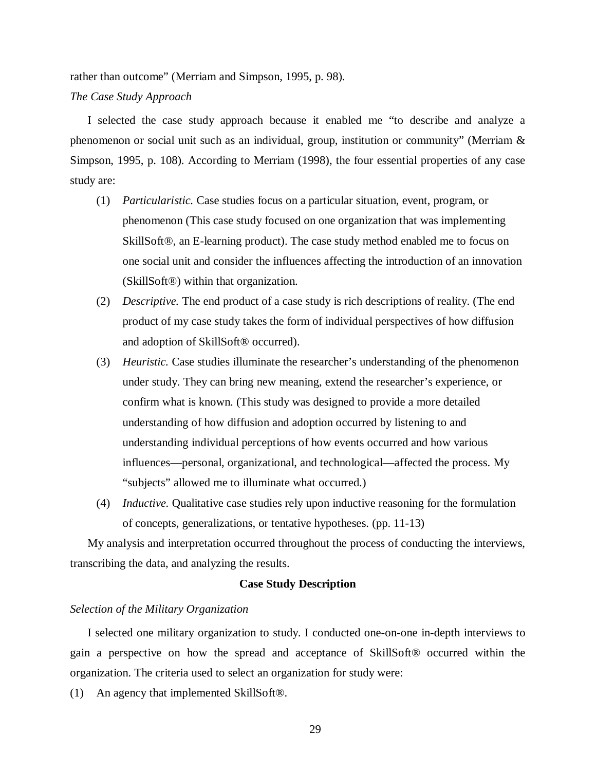rather than outcome" (Merriam and Simpson, 1995, p. 98). *The Case Study Approach* 

I selected the case study approach because it enabled me "to describe and analyze a phenomenon or social unit such as an individual, group, institution or community" (Merriam & Simpson, 1995, p. 108). According to Merriam (1998), the four essential properties of any case study are:

- (1) *Particularistic.* Case studies focus on a particular situation, event, program, or phenomenon (This case study focused on one organization that was implementing SkillSoft®, an E-learning product). The case study method enabled me to focus on one social unit and consider the influences affecting the introduction of an innovation (SkillSoft®) within that organization.
- (2) *Descriptive.* The end product of a case study is rich descriptions of reality. (The end product of my case study takes the form of individual perspectives of how diffusion and adoption of SkillSoft® occurred).
- (3) *Heuristic.* Case studies illuminate the researcher's understanding of the phenomenon under study. They can bring new meaning, extend the researcher's experience, or confirm what is known. (This study was designed to provide a more detailed understanding of how diffusion and adoption occurred by listening to and understanding individual perceptions of how events occurred and how various influences—personal, organizational, and technological—affected the process. My "subjects" allowed me to illuminate what occurred.)
- (4) *Inductive.* Qualitative case studies rely upon inductive reasoning for the formulation of concepts, generalizations, or tentative hypotheses. (pp. 11-13)

My analysis and interpretation occurred throughout the process of conducting the interviews, transcribing the data, and analyzing the results.

## **Case Study Description**

# *Selection of the Military Organization*

I selected one military organization to study. I conducted one-on-one in-depth interviews to gain a perspective on how the spread and acceptance of SkillSoft® occurred within the organization. The criteria used to select an organization for study were:

(1) An agency that implemented SkillSoft®.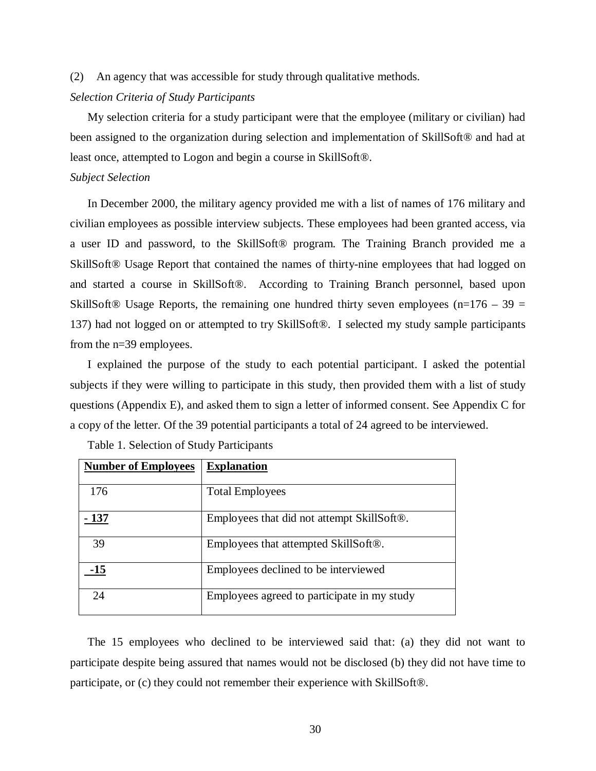(2) An agency that was accessible for study through qualitative methods.

## *Selection Criteria of Study Participants*

My selection criteria for a study participant were that the employee (military or civilian) had been assigned to the organization during selection and implementation of SkillSoft® and had at least once, attempted to Logon and begin a course in SkillSoft®.

## *Subject Selection*

In December 2000, the military agency provided me with a list of names of 176 military and civilian employees as possible interview subjects. These employees had been granted access, via a user ID and password, to the SkillSoft® program. The Training Branch provided me a SkillSoft® Usage Report that contained the names of thirty-nine employees that had logged on and started a course in SkillSoft®. According to Training Branch personnel, based upon SkillSoft<sup>®</sup> Usage Reports, the remaining one hundred thirty seven employees (n=176 – 39 = 137) had not logged on or attempted to try SkillSoft®. I selected my study sample participants from the n=39 employees.

I explained the purpose of the study to each potential participant. I asked the potential subjects if they were willing to participate in this study, then provided them with a list of study questions (Appendix E), and asked them to sign a letter of informed consent. See Appendix C for a copy of the letter. Of the 39 potential participants a total of 24 agreed to be interviewed.

| <b>Number of Employees</b> | <b>Explanation</b>                                      |  |
|----------------------------|---------------------------------------------------------|--|
| 176                        | <b>Total Employees</b>                                  |  |
| $-137$                     | Employees that did not attempt SkillSoft <sup>®</sup> . |  |
| 39                         | Employees that attempted SkillSoft®.                    |  |
| 15                         | Employees declined to be interviewed                    |  |
| 24                         | Employees agreed to participate in my study             |  |

Table 1. Selection of Study Participants

The 15 employees who declined to be interviewed said that: (a) they did not want to participate despite being assured that names would not be disclosed (b) they did not have time to participate, or (c) they could not remember their experience with SkillSoft®.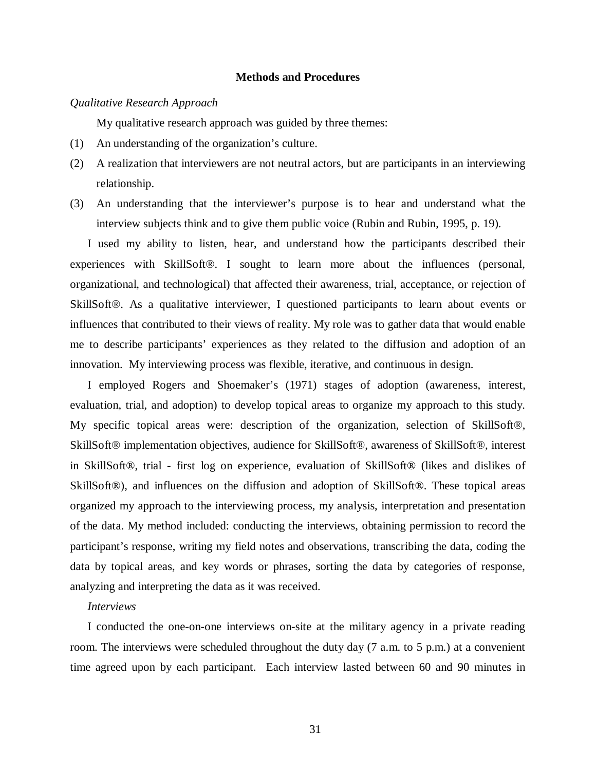## **Methods and Procedures**

### *Qualitative Research Approach*

My qualitative research approach was guided by three themes:

- (1) An understanding of the organization's culture.
- (2) A realization that interviewers are not neutral actors, but are participants in an interviewing relationship.
- (3) An understanding that the interviewer's purpose is to hear and understand what the interview subjects think and to give them public voice (Rubin and Rubin, 1995, p. 19).

I used my ability to listen, hear, and understand how the participants described their experiences with SkillSoft®. I sought to learn more about the influences (personal, organizational, and technological) that affected their awareness, trial, acceptance, or rejection of SkillSoft®. As a qualitative interviewer, I questioned participants to learn about events or influences that contributed to their views of reality. My role was to gather data that would enable me to describe participants' experiences as they related to the diffusion and adoption of an innovation. My interviewing process was flexible, iterative, and continuous in design.

I employed Rogers and Shoemaker's (1971) stages of adoption (awareness, interest, evaluation, trial, and adoption) to develop topical areas to organize my approach to this study. My specific topical areas were: description of the organization, selection of SkillSoft®, SkillSoft® implementation objectives, audience for SkillSoft®, awareness of SkillSoft®, interest in SkillSoft®, trial - first log on experience, evaluation of SkillSoft® (likes and dislikes of SkillSoft®), and influences on the diffusion and adoption of SkillSoft®. These topical areas organized my approach to the interviewing process, my analysis, interpretation and presentation of the data. My method included: conducting the interviews, obtaining permission to record the participant's response, writing my field notes and observations, transcribing the data, coding the data by topical areas, and key words or phrases, sorting the data by categories of response, analyzing and interpreting the data as it was received.

## *Interviews*

I conducted the one-on-one interviews on-site at the military agency in a private reading room. The interviews were scheduled throughout the duty day (7 a.m. to 5 p.m.) at a convenient time agreed upon by each participant. Each interview lasted between 60 and 90 minutes in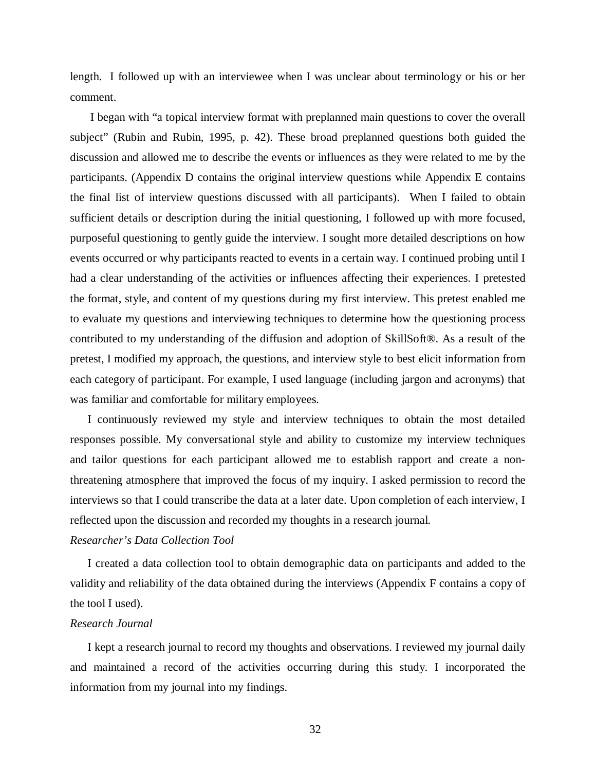length. I followed up with an interviewee when I was unclear about terminology or his or her comment.

 I began with "a topical interview format with preplanned main questions to cover the overall subject" (Rubin and Rubin, 1995, p. 42). These broad preplanned questions both guided the discussion and allowed me to describe the events or influences as they were related to me by the participants. (Appendix D contains the original interview questions while Appendix E contains the final list of interview questions discussed with all participants). When I failed to obtain sufficient details or description during the initial questioning, I followed up with more focused, purposeful questioning to gently guide the interview. I sought more detailed descriptions on how events occurred or why participants reacted to events in a certain way. I continued probing until I had a clear understanding of the activities or influences affecting their experiences. I pretested the format, style, and content of my questions during my first interview. This pretest enabled me to evaluate my questions and interviewing techniques to determine how the questioning process contributed to my understanding of the diffusion and adoption of SkillSoft®. As a result of the pretest, I modified my approach, the questions, and interview style to best elicit information from each category of participant. For example, I used language (including jargon and acronyms) that was familiar and comfortable for military employees.

I continuously reviewed my style and interview techniques to obtain the most detailed responses possible. My conversational style and ability to customize my interview techniques and tailor questions for each participant allowed me to establish rapport and create a nonthreatening atmosphere that improved the focus of my inquiry. I asked permission to record the interviews so that I could transcribe the data at a later date. Upon completion of each interview, I reflected upon the discussion and recorded my thoughts in a research journal.

# *Researcher's Data Collection Tool*

I created a data collection tool to obtain demographic data on participants and added to the validity and reliability of the data obtained during the interviews (Appendix F contains a copy of the tool I used).

# *Research Journal*

I kept a research journal to record my thoughts and observations. I reviewed my journal daily and maintained a record of the activities occurring during this study. I incorporated the information from my journal into my findings.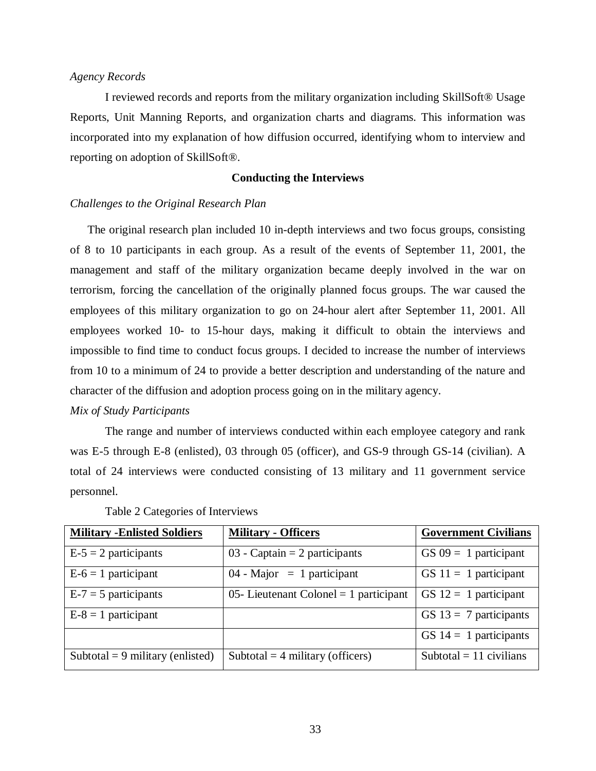# *Agency Records*

I reviewed records and reports from the military organization including SkillSoft® Usage Reports, Unit Manning Reports, and organization charts and diagrams. This information was incorporated into my explanation of how diffusion occurred, identifying whom to interview and reporting on adoption of SkillSoft®.

## **Conducting the Interviews**

## *Challenges to the Original Research Plan*

The original research plan included 10 in-depth interviews and two focus groups, consisting of 8 to 10 participants in each group. As a result of the events of September 11, 2001, the management and staff of the military organization became deeply involved in the war on terrorism, forcing the cancellation of the originally planned focus groups. The war caused the employees of this military organization to go on 24-hour alert after September 11, 2001. All employees worked 10- to 15-hour days, making it difficult to obtain the interviews and impossible to find time to conduct focus groups. I decided to increase the number of interviews from 10 to a minimum of 24 to provide a better description and understanding of the nature and character of the diffusion and adoption process going on in the military agency.

### *Mix of Study Participants*

The range and number of interviews conducted within each employee category and rank was E-5 through E-8 (enlisted), 03 through 05 (officer), and GS-9 through GS-14 (civilian). A total of 24 interviews were conducted consisting of 13 military and 11 government service personnel.

| <b>Military - Enlisted Soldiers</b> | <b>Military - Officers</b>               | <b>Government Civilians</b> |
|-------------------------------------|------------------------------------------|-----------------------------|
| $E-5 = 2$ participants              | 03 - Captain $= 2$ participants          | $GS\,09 = 1$ participant    |
| $E-6 = 1$ participant               | $04$ - Major = 1 participant             | GS $11 = 1$ participant     |
| $E-7 = 5$ participants              | 05- Lieutenant Colonel $= 1$ participant | GS $12 = 1$ participant     |
| $E-8=1$ participant                 |                                          | GS $13 = 7$ participants    |
|                                     |                                          | GS $14 = 1$ participants    |
| Subtotal = 9 military (enlisted)    | Subtotal = $4$ military (officers)       | Subtotal = $11$ civilians   |

Table 2 Categories of Interviews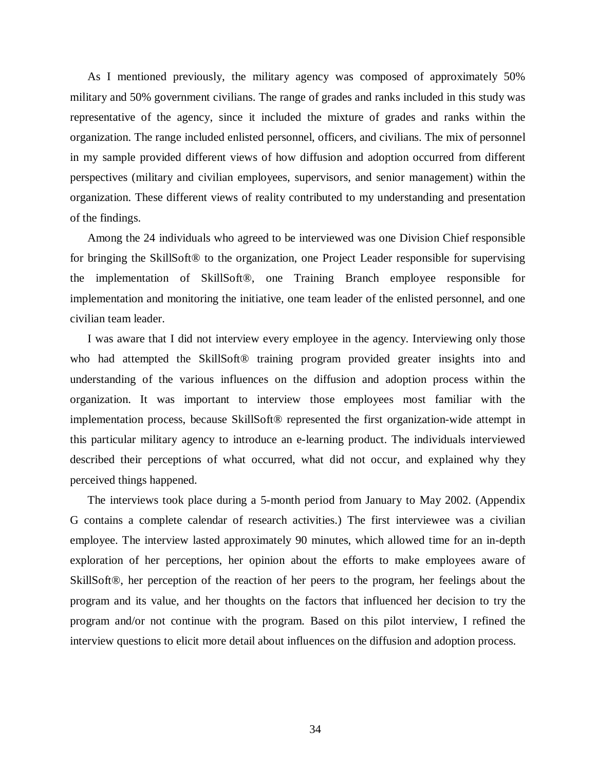As I mentioned previously, the military agency was composed of approximately 50% military and 50% government civilians. The range of grades and ranks included in this study was representative of the agency, since it included the mixture of grades and ranks within the organization. The range included enlisted personnel, officers, and civilians. The mix of personnel in my sample provided different views of how diffusion and adoption occurred from different perspectives (military and civilian employees, supervisors, and senior management) within the organization. These different views of reality contributed to my understanding and presentation of the findings.

Among the 24 individuals who agreed to be interviewed was one Division Chief responsible for bringing the SkillSoft® to the organization, one Project Leader responsible for supervising the implementation of SkillSoft®, one Training Branch employee responsible for implementation and monitoring the initiative, one team leader of the enlisted personnel, and one civilian team leader.

I was aware that I did not interview every employee in the agency. Interviewing only those who had attempted the SkillSoft<sup>®</sup> training program provided greater insights into and understanding of the various influences on the diffusion and adoption process within the organization. It was important to interview those employees most familiar with the implementation process, because SkillSoft® represented the first organization-wide attempt in this particular military agency to introduce an e-learning product. The individuals interviewed described their perceptions of what occurred, what did not occur, and explained why they perceived things happened.

The interviews took place during a 5-month period from January to May 2002. (Appendix G contains a complete calendar of research activities.) The first interviewee was a civilian employee. The interview lasted approximately 90 minutes, which allowed time for an in-depth exploration of her perceptions, her opinion about the efforts to make employees aware of SkillSoft®, her perception of the reaction of her peers to the program, her feelings about the program and its value, and her thoughts on the factors that influenced her decision to try the program and/or not continue with the program. Based on this pilot interview, I refined the interview questions to elicit more detail about influences on the diffusion and adoption process.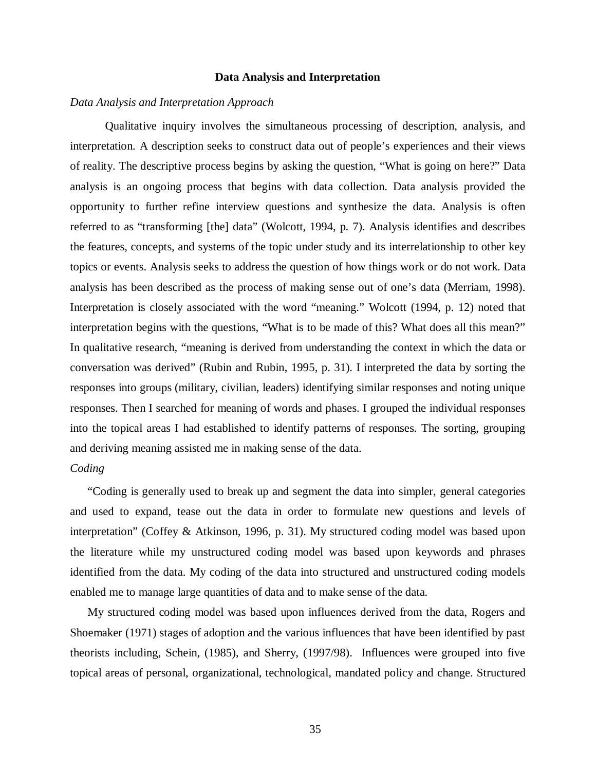### **Data Analysis and Interpretation**

# *Data Analysis and Interpretation Approach*

 Qualitative inquiry involves the simultaneous processing of description, analysis, and interpretation. A description seeks to construct data out of people's experiences and their views of reality. The descriptive process begins by asking the question, "What is going on here?" Data analysis is an ongoing process that begins with data collection. Data analysis provided the opportunity to further refine interview questions and synthesize the data. Analysis is often referred to as "transforming [the] data" (Wolcott, 1994, p. 7). Analysis identifies and describes the features, concepts, and systems of the topic under study and its interrelationship to other key topics or events. Analysis seeks to address the question of how things work or do not work. Data analysis has been described as the process of making sense out of one's data (Merriam, 1998). Interpretation is closely associated with the word "meaning." Wolcott (1994, p. 12) noted that interpretation begins with the questions, "What is to be made of this? What does all this mean?" In qualitative research, "meaning is derived from understanding the context in which the data or conversation was derived" (Rubin and Rubin, 1995, p. 31). I interpreted the data by sorting the responses into groups (military, civilian, leaders) identifying similar responses and noting unique responses. Then I searched for meaning of words and phases. I grouped the individual responses into the topical areas I had established to identify patterns of responses. The sorting, grouping and deriving meaning assisted me in making sense of the data.

## *Coding*

"Coding is generally used to break up and segment the data into simpler, general categories and used to expand, tease out the data in order to formulate new questions and levels of interpretation" (Coffey & Atkinson, 1996, p. 31). My structured coding model was based upon the literature while my unstructured coding model was based upon keywords and phrases identified from the data. My coding of the data into structured and unstructured coding models enabled me to manage large quantities of data and to make sense of the data.

My structured coding model was based upon influences derived from the data, Rogers and Shoemaker (1971) stages of adoption and the various influences that have been identified by past theorists including, Schein, (1985), and Sherry, (1997/98). Influences were grouped into five topical areas of personal, organizational, technological, mandated policy and change. Structured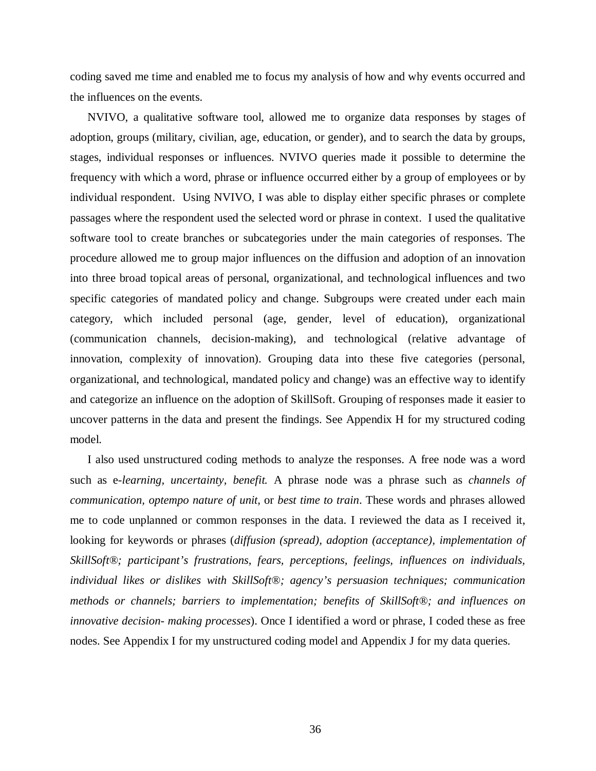coding saved me time and enabled me to focus my analysis of how and why events occurred and the influences on the events.

NVIVO, a qualitative software tool, allowed me to organize data responses by stages of adoption, groups (military, civilian, age, education, or gender), and to search the data by groups, stages, individual responses or influences. NVIVO queries made it possible to determine the frequency with which a word, phrase or influence occurred either by a group of employees or by individual respondent. Using NVIVO, I was able to display either specific phrases or complete passages where the respondent used the selected word or phrase in context. I used the qualitative software tool to create branches or subcategories under the main categories of responses. The procedure allowed me to group major influences on the diffusion and adoption of an innovation into three broad topical areas of personal, organizational, and technological influences and two specific categories of mandated policy and change. Subgroups were created under each main category, which included personal (age, gender, level of education), organizational (communication channels, decision-making), and technological (relative advantage of innovation, complexity of innovation). Grouping data into these five categories (personal, organizational, and technological, mandated policy and change) was an effective way to identify and categorize an influence on the adoption of SkillSoft. Grouping of responses made it easier to uncover patterns in the data and present the findings. See Appendix H for my structured coding model.

I also used unstructured coding methods to analyze the responses. A free node was a word such as e*-learning, uncertainty, benefit.* A phrase node was a phrase such as *channels of communication, optempo nature of unit,* or *best time to train*. These words and phrases allowed me to code unplanned or common responses in the data. I reviewed the data as I received it, looking for keywords or phrases (*diffusion (spread), adoption (acceptance), implementation of SkillSoft®; participant's frustrations, fears, perceptions, feelings, influences on individuals, individual likes or dislikes with SkillSoft®; agency's persuasion techniques; communication methods or channels; barriers to implementation; benefits of SkillSoft®; and influences on innovative decision- making processes*). Once I identified a word or phrase, I coded these as free nodes. See Appendix I for my unstructured coding model and Appendix J for my data queries.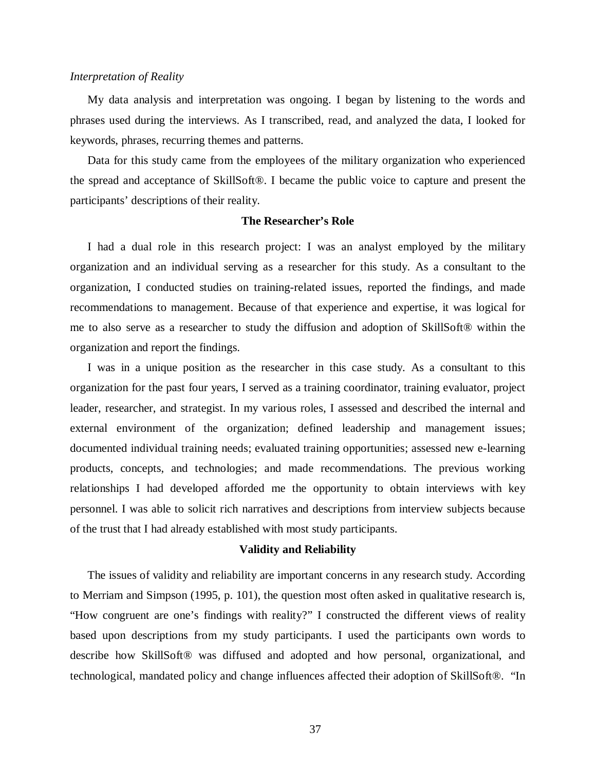### *Interpretation of Reality*

My data analysis and interpretation was ongoing. I began by listening to the words and phrases used during the interviews. As I transcribed, read, and analyzed the data, I looked for keywords, phrases, recurring themes and patterns.

Data for this study came from the employees of the military organization who experienced the spread and acceptance of SkillSoft®. I became the public voice to capture and present the participants' descriptions of their reality.

## **The Researcher's Role**

I had a dual role in this research project: I was an analyst employed by the military organization and an individual serving as a researcher for this study. As a consultant to the organization, I conducted studies on training-related issues, reported the findings, and made recommendations to management. Because of that experience and expertise, it was logical for me to also serve as a researcher to study the diffusion and adoption of SkillSoft® within the organization and report the findings.

I was in a unique position as the researcher in this case study. As a consultant to this organization for the past four years, I served as a training coordinator, training evaluator, project leader, researcher, and strategist. In my various roles, I assessed and described the internal and external environment of the organization; defined leadership and management issues; documented individual training needs; evaluated training opportunities; assessed new e-learning products, concepts, and technologies; and made recommendations. The previous working relationships I had developed afforded me the opportunity to obtain interviews with key personnel. I was able to solicit rich narratives and descriptions from interview subjects because of the trust that I had already established with most study participants.

### **Validity and Reliability**

The issues of validity and reliability are important concerns in any research study. According to Merriam and Simpson (1995, p. 101), the question most often asked in qualitative research is, "How congruent are one's findings with reality?" I constructed the different views of reality based upon descriptions from my study participants. I used the participants own words to describe how SkillSoft® was diffused and adopted and how personal, organizational, and technological, mandated policy and change influences affected their adoption of SkillSoft®. "In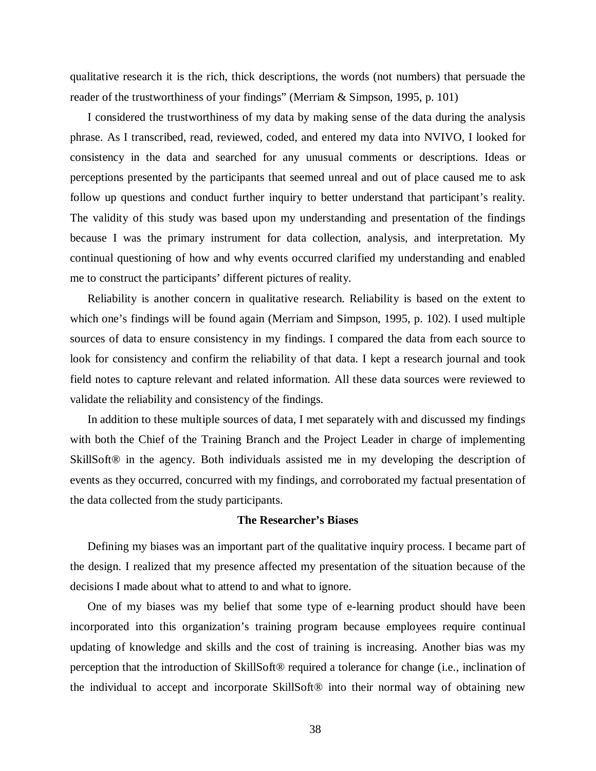qualitative research it is the rich, thick descriptions, the words (not numbers) that persuade the reader of the trustworthiness of your findings" (Merriam & Simpson, 1995, p. 101)

I considered the trustworthiness of my data by making sense of the data during the analysis phrase. As I transcribed, read, reviewed, coded, and entered my data into NVIVO, I looked for consistency in the data and searched for any unusual comments or descriptions. Ideas or perceptions presented by the participants that seemed unreal and out of place caused me to ask follow up questions and conduct further inquiry to better understand that participant's reality. The validity of this study was based upon my understanding and presentation of the findings because I was the primary instrument for data collection, analysis, and interpretation. My continual questioning of how and why events occurred clarified my understanding and enabled me to construct the participants' different pictures of reality.

Reliability is another concern in qualitative research. Reliability is based on the extent to which one's findings will be found again (Merriam and Simpson, 1995, p. 102). I used multiple sources of data to ensure consistency in my findings. I compared the data from each source to look for consistency and confirm the reliability of that data. I kept a research journal and took field notes to capture relevant and related information. All these data sources were reviewed to validate the reliability and consistency of the findings.

In addition to these multiple sources of data, I met separately with and discussed my findings with both the Chief of the Training Branch and the Project Leader in charge of implementing SkillSoft® in the agency. Both individuals assisted me in my developing the description of events as they occurred, concurred with my findings, and corroborated my factual presentation of the data collected from the study participants.

## **The Researcher's Biases**

 Defining my biases was an important part of the qualitative inquiry process. I became part of the design. I realized that my presence affected my presentation of the situation because of the decisions I made about what to attend to and what to ignore.

One of my biases was my belief that some type of e-learning product should have been incorporated into this organization's training program because employees require continual updating of knowledge and skills and the cost of training is increasing. Another bias was my perception that the introduction of SkillSoft® required a tolerance for change (i.e., inclination of the individual to accept and incorporate SkillSoft® into their normal way of obtaining new